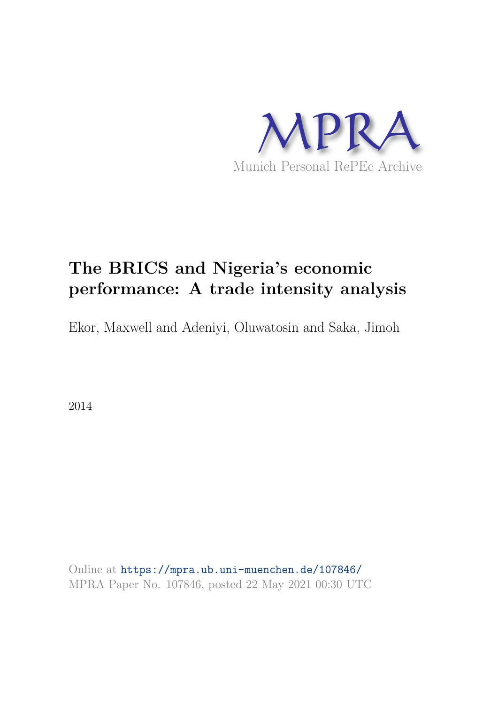

# **The BRICS and Nigeria's economic performance: A trade intensity analysis**

Ekor, Maxwell and Adeniyi, Oluwatosin and Saka, Jimoh

2014

Online at https://mpra.ub.uni-muenchen.de/107846/ MPRA Paper No. 107846, posted 22 May 2021 00:30 UTC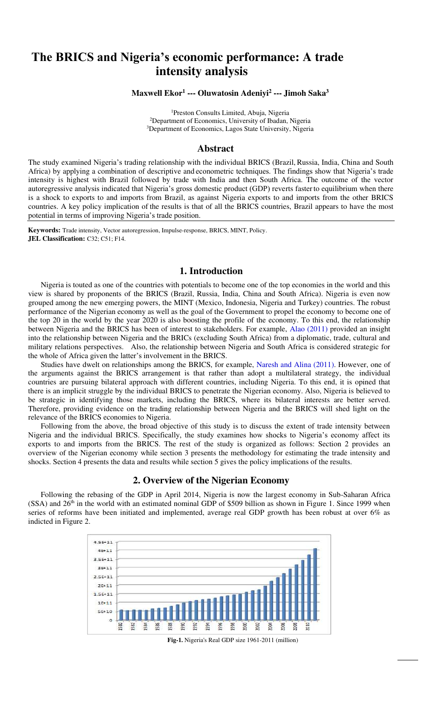## **The BRICS and Nigeria's economic performance: A trade intensity analysis**

**Maxwell Ekor<sup>1</sup> --- Oluwatosin Adeniyi<sup>2</sup> --- Jimoh Saka<sup>3</sup>**

<sup>1</sup>Preston Consults Limited, Abuja, Nigeria <sup>2</sup>Department of Economics, University of Ibadan, Nigeria <sup>3</sup>Department of Economics, Lagos State University, Nigeria

#### **Abstract**

The study examined Nigeria's trading relationship with the individual BRICS (Brazil, Russia, India, China and South Africa) by applying a combination of descriptive and econometric techniques. The findings show that Nigeria's trade intensity is highest with Brazil followed by trade with India and then South Africa. The outcome of the vector autoregressive analysis indicated that Nigeria's gross domestic product (GDP) reverts faster to equilibrium when there is a shock to exports to and imports from Brazil, as against Nigeria exports to and imports from the other BRICS countries. A key policy implication of the results is that of all the BRICS countries, Brazil appears to have the most potential in terms of improving Nigeria's trade position.

 **Keywords:** Trade intensity, Vector autoregression, Impulse-response, BRICS, MINT, Policy.  **JEL Classification:** C32; C51; F14.

## **1. Introduction**

Nigeria is touted as one of the countries with potentials to become one of the top economies in the world and this view is shared by proponents of the BRICS (Brazil, Russia, India, China and South Africa). Nigeria is even now grouped among the new emerging powers, the MINT (Mexico, Indonesia, Nigeria and Turkey) countries. The robust performance of the Nigerian economy as well as the goal of the Government to propel the economy to become one of the top 20 in the world by the year 2020 is also boosting the profile of the economy. To this end, the relationship between Nigeria and the BRICS has been of interest to stakeholders. For example, [Alao \(2011\)](#page-12-0) provided an insight into the relationship between Nigeria and the BRICs (excluding South Africa) from a diplomatic, trade, cultural and military relations perspectives. Also, the relationship between Nigeria and South Africa is considered strategic for the whole of Africa given the latter's involvement in the BRICS.

Studies have dwelt on relationships among the BRICS, for example, [Naresh and Alina \(2011\)](#page-12-1). However, one of the arguments against the BRICS arrangement is that rather than adopt a multilateral strategy, the individual countries are pursuing bilateral approach with different countries, including Nigeria. To this end, it is opined that there is an implicit struggle by the individual BRICS to penetrate the Nigerian economy. Also, Nigeria is believed to be strategic in identifying those markets, including the BRICS, where its bilateral interests are better served. Therefore, providing evidence on the trading relationship between Nigeria and the BRICS will shed light on the relevance of the BRICS economies to Nigeria.

Following from the above, the broad objective of this study is to discuss the extent of trade intensity between Nigeria and the individual BRICS. Specifically, the study examines how shocks to Nigeria's economy affect its exports to and imports from the BRICS. The rest of the study is organized as follows: Section 2 provides an overview of the Nigerian economy while section 3 presents the methodology for estimating the trade intensity and shocks. Section 4 presents the data and results while section 5 gives the policy implications of the results.

#### **2. Overview of the Nigerian Economy**

Following the rebasing of the GDP in April 2014, Nigeria is now the largest economy in Sub-Saharan Africa  $(SSA)$  and 26<sup>th</sup> in the world with an estimated nominal GDP of \$509 billion as shown in Figure 1. Since 1999 when series of reforms have been initiated and implemented, average real GDP growth has been robust at over 6% as indicted in Figure 2.



 **Fig-1.** Nigeria's Real GDP size 1961-2011 (million)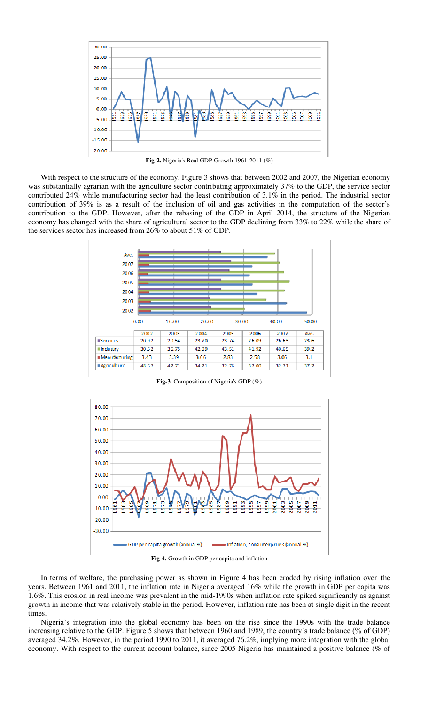

**Fig-2.** Nigeria's Real GDP Growth 1961-2011 (%)

With respect to the structure of the economy, Figure 3 shows that between 2002 and 2007, the Nigerian economy was substantially agrarian with the agriculture sector contributing approximately 37% to the GDP, the service sector contributed 24% while manufacturing sector had the least contribution of 3.1% in the period. The industrial sector contribution of 39% is as a result of the inclusion of oil and gas activities in the computation of the sector's contribution to the GDP. However, after the rebasing of the GDP in April 2014, the structure of the Nigerian economy has changed with the share of agricultural sector to the GDP declining from 33% to 22% while the share of the services sector has increased from 26% to about 51% of GDP.



**Fig-3.** Composition of Nigeria's GDP (%)



**Fig-4.** Growth in GDP per capita and inflation

In terms of welfare, the purchasing power as shown in Figure 4 has been eroded by rising inflation over the years. Between 1961 and 2011, the inflation rate in Nigeria averaged 16% while the growth in GDP per capita was 1.6%. This erosion in real income was prevalent in the mid-1990s when inflation rate spiked significantly as against growth in income that was relatively stable in the period. However, inflation rate has been at single digit in the recent times.

Nigeria's integration into the global economy has been on the rise since the 1990s with the trade balance increasing relative to the GDP. Figure 5 shows that between 1960 and 1989, the country's trade balance (% of GDP) averaged 34.2%. However, in the period 1990 to 2011, it averaged 76.2%, implying more integration with the global economy. With respect to the current account balance, since 2005 Nigeria has maintained a positive balance (% of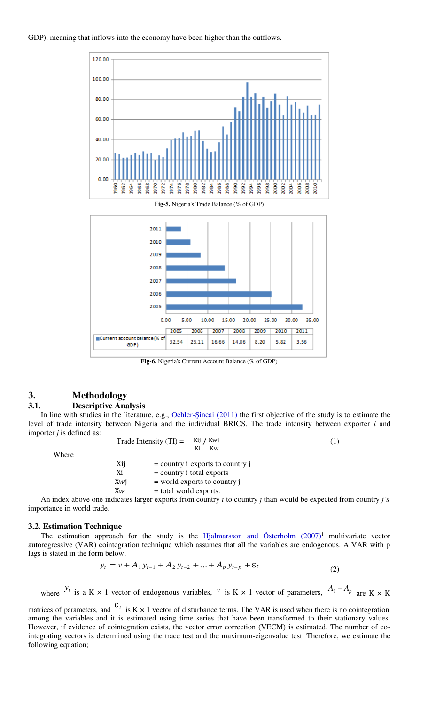

**Fig-6.** Nigeria's Current Account Balance (% of GDP)

2006

25.11

2007

16.66

2008

14.06

2009

8.20

2010

5.82

2011

3.56

## **3. Methodology**

#### **3.1. Descriptive Analysis**

In line with studies in the literature, e.g., Oehler-[Şincai \(2011](#page-12-2)) the first objective of the study is to estimate the level of trade intensity between Nigeria and the individual BRICS. The trade intensity between exporter *i* and importer *j* is defined as:

Where

| Trade Intensity (TI) = $\frac{Kij}{Kwi}$ | Ki Kw                                                                                                           | (1) |
|------------------------------------------|-----------------------------------------------------------------------------------------------------------------|-----|
| $\mathbf{V}$                             | the contract of the contract of the contract of the contract of the contract of the contract of the contract of |     |

| $=$ country i exports to country j        |
|-------------------------------------------|
| $=$ country i total exports               |
| $=$ world exports to country $\mathbf{i}$ |
| = total world exports.                    |
|                                           |

2005

32.54

Current account balance (% of

GDP)

An index above one indicates larger exports from country *i* to country *j* than would be expected from country *j's* importance in world trade.

#### **3.2. Estimation Technique**

The estimation approach for the study is the Hjalmarsson and Österholm  $(2007)^1$  multivariate vector autoregressive (VAR) cointegration technique which assumes that all the variables are endogenous. A VAR with p lags is stated in the form below;

$$
y_t = v + A_1 y_{t-1} + A_2 y_{t-2} + \dots + A_p y_{t-p} + \varepsilon_t
$$
\n(2)

where  $y_t$  is a K × 1 vector of endogenous variables,  $v$  is K × 1 vector of parameters,  $A_1 - A_p$  are K × K

matrices of parameters, and  $\epsilon_{\iota}$  is K  $\times$  1 vector of disturbance terms. The VAR is used when there is no cointegration among the variables and it is estimated using time series that have been transformed to their stationary values. However, if evidence of cointegration exists, the vector error correction (VECM) is estimated. The number of cointegrating vectors is determined using the trace test and the maximum-eigenvalue test. Therefore, we estimate the following equation;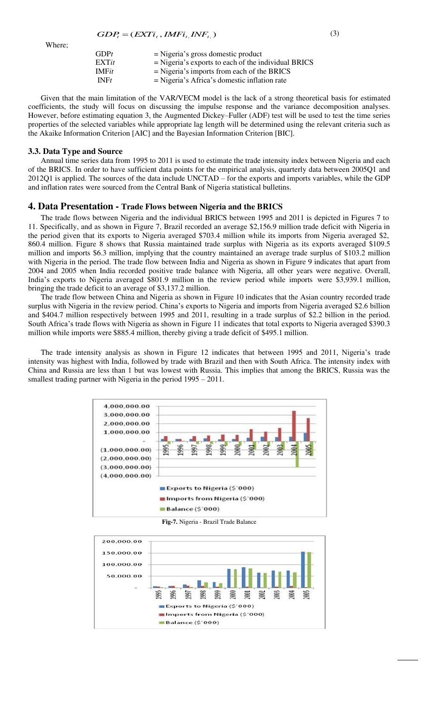Where;

| GDPt                   | $=$ Nigeria's gross domestic product                  |
|------------------------|-------------------------------------------------------|
| $\bm{\mathrm{EXT}}$ it | $=$ Nigeria's exports to each of the individual BRICS |
| <b>IMFit</b>           | $=$ Nigeria's imports from each of the BRICS          |
| INFt                   | $=$ Nigeria's Africa's domestic inflation rate        |

Given that the main limitation of the VAR/VECM model is the lack of a strong theoretical basis for estimated coefficients, the study will focus on discussing the impulse response and the variance decomposition analyses. However, before estimating equation 3, the Augmented Dickey–Fuller (ADF) test will be used to test the time series properties of the selected variables while appropriate lag length will be determined using the relevant criteria such as the Akaike Information Criterion [AIC] and the Bayesian Information Criterion [BIC].

#### **3.3. Data Type and Source**

Annual time series data from 1995 to 2011 is used to estimate the trade intensity index between Nigeria and each of the BRICS. In order to have sufficient data points for the empirical analysis, quarterly data between 2005Q1 and 2012Q1 is applied. The sources of the data include UNCTAD – for the exports and imports variables, while the GDP and inflation rates were sourced from the Central Bank of Nigeria statistical bulletins.

#### **4. Data Presentation - Trade Flows between Nigeria and the BRICS**

The trade flows between Nigeria and the individual BRICS between 1995 and 2011 is depicted in Figures 7 to 11. Specifically, and as shown in Figure 7, Brazil recorded an average \$2,156.9 million trade deficit with Nigeria in the period given that its exports to Nigeria averaged \$703.4 million while its imports from Nigeria averaged \$2, 860.4 million. Figure 8 shows that Russia maintained trade surplus with Nigeria as its exports averaged \$109.5 million and imports \$6.3 million, implying that the country maintained an average trade surplus of \$103.2 million with Nigeria in the period. The trade flow between India and Nigeria as shown in Figure 9 indicates that apart from 2004 and 2005 when India recorded positive trade balance with Nigeria, all other years were negative. Overall, India's exports to Nigeria averaged \$801.9 million in the review period while imports were \$3,939.1 million, bringing the trade deficit to an average of \$3,137.2 million.

The trade flow between China and Nigeria as shown in Figure 10 indicates that the Asian country recorded trade surplus with Nigeria in the review period. China's exports to Nigeria and imports from Nigeria averaged \$2.6 billion and \$404.7 million respectively between 1995 and 2011, resulting in a trade surplus of \$2.2 billion in the period. South Africa's trade flows with Nigeria as shown in Figure 11 indicates that total exports to Nigeria averaged \$390.3 million while imports were \$885.4 million, thereby giving a trade deficit of \$495.1 million.

The trade intensity analysis as shown in Figure 12 indicates that between 1995 and 2011, Nigeria's trade intensity was highest with India, followed by trade with Brazil and then with South Africa. The intensity index with China and Russia are less than 1 but was lowest with Russia. This implies that among the BRICS, Russia was the smallest trading partner with Nigeria in the period 1995 – 2011.



**Fig-7.** Nigeria - Brazil Trade Balance

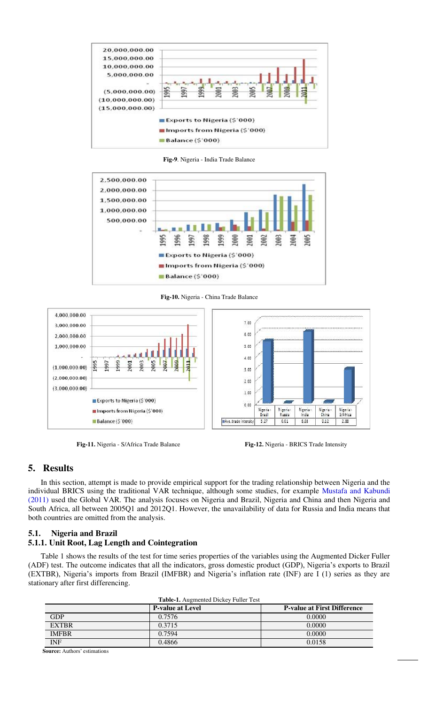

**Fig-9**. Nigeria - India Trade Balance



**Fig-10.** Nigeria - China Trade Balance





## **5. Results**

In this section, attempt is made to provide empirical support for the trading relationship between Nigeria and the individual BRICS using the traditional VAR technique, although some studies, for example [Mustafa and Kabundi](#page-12-4)  [\(2011\)](#page-12-4) used the Global VAR. The analysis focuses on Nigeria and Brazil, Nigeria and China and then Nigeria and South Africa, all between 2005Q1 and 2012Q1. However, the unavailability of data for Russia and India means that both countries are omitted from the analysis.

## **5.1. Nigeria and Brazil**

## **5.1.1. Unit Root, Lag Length and Cointegration**

Table 1 shows the results of the test for time series properties of the variables using the Augmented Dicker Fuller (ADF) test. The outcome indicates that all the indicators, gross domestic product (GDP), Nigeria's exports to Brazil (EXTBR), Nigeria's imports from Brazil (IMFBR) and Nigeria's inflation rate (INF) are I (1) series as they are stationary after first differencing.

| Table-1. Augmented Dickey Fuller Test |                         |                                    |  |  |
|---------------------------------------|-------------------------|------------------------------------|--|--|
|                                       | <b>P-value at Level</b> | <b>P-value at First Difference</b> |  |  |
| <b>GDP</b>                            | 0.7576                  | 0.0000                             |  |  |
| <b>EXTBR</b>                          | 0.3715                  | 0.0000                             |  |  |
| <b>IMFBR</b>                          | 0.7594                  | 0.0000                             |  |  |
| <b>INF</b>                            | 0.4866                  | 0.0158                             |  |  |

**Source:** Authors' estimations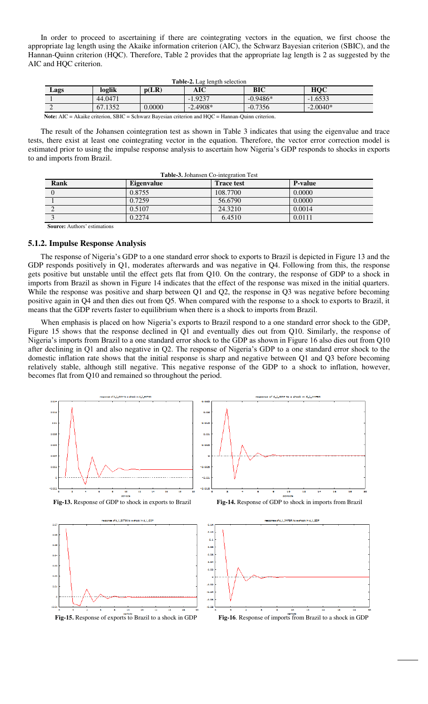In order to proceed to ascertaining if there are cointegrating vectors in the equation, we first choose the appropriate lag length using the Akaike information criterion (AIC), the Schwarz Bayesian criterion (SBIC), and the Hannan-Quinn criterion (HQC). Therefore, Table 2 provides that the appropriate lag length is 2 as suggested by the AIC and HQC criterion.

| <b>Table-2.</b> Lag length selection |         |        |            |            |            |
|--------------------------------------|---------|--------|------------|------------|------------|
| Lags                                 | loglik  | p(LR)  | AIC        | BIC        | HQC        |
|                                      | 44,0471 |        | $-1.9237$  | $-0.9486*$ | $-1.6533$  |
| ◠<br>∠                               | 67.1352 | 0.0000 | $-2.4908*$ | $-0.7356$  | $-2.0040*$ |
|                                      |         |        |            |            |            |

**Note:** AIC = Akaike criterion, SBIC = Schwarz Bayesian criterion and HQC = Hannan-Quinn criterion.

The result of the Johansen cointegration test as shown in Table 3 indicates that using the eigenvalue and trace tests, there exist at least one cointegrating vector in the equation. Therefore, the vector error correction model is estimated prior to using the impulse response analysis to ascertain how Nigeria's GDP responds to shocks in exports to and imports from Brazil.

| <b>Table 3.</b> Johansen Co-integration Test |            |                   |                |  |
|----------------------------------------------|------------|-------------------|----------------|--|
| Rank                                         | Eigenvalue | <b>Trace test</b> | <b>P-value</b> |  |
| $\theta$                                     | 0.8755     | 108.7700          | 0.0000         |  |
|                                              | 0.7259     | 56.6790           | 0.0000         |  |
| $\overline{2}$                               | 0.5107     | 24.3210           | 0.0014         |  |
| 3                                            | 0.2274     | 6.4510            | 0.0111         |  |

**Source:** Authors' estimations

L

#### **5.1.2. Impulse Response Analysis**

The response of Nigeria's GDP to a one standard error shock to exports to Brazil is depicted in Figure 13 and the GDP responds positively in Q1, moderates afterwards and was negative in Q4. Following from this, the response gets positive but unstable until the effect gets flat from Q10. On the contrary, the response of GDP to a shock in imports from Brazil as shown in Figure 14 indicates that the effect of the response was mixed in the initial quarters. While the response was positive and sharp between Q1 and Q2, the response in Q3 was negative before becoming positive again in Q4 and then dies out from Q5. When compared with the response to a shock to exports to Brazil, it means that the GDP reverts faster to equilibrium when there is a shock to imports from Brazil.

When emphasis is placed on how Nigeria's exports to Brazil respond to a one standard error shock to the GDP, Figure 15 shows that the response declined in Q1 and eventually dies out from Q10. Similarly, the response of Nigeria's imports from Brazil to a one standard error shock to the GDP as shown in Figure 16 also dies out from Q10 after declining in Q1 and also negative in Q2. The response of Nigeria's GDP to a one standard error shock to the domestic inflation rate shows that the initial response is sharp and negative between Q1 and Q3 before becoming relatively stable, although still negative. This negative response of the GDP to a shock to inflation, however, becomes flat from Q10 and remained so throughout the period.

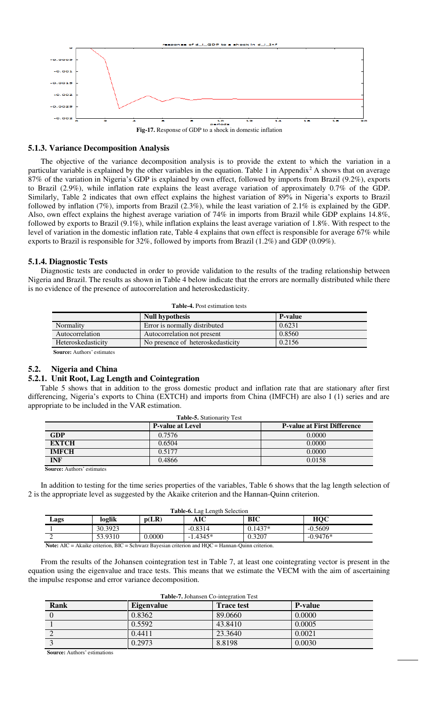

**5.1.3. Variance Decomposition Analysis** 

The objective of the variance decomposition analysis is to provide the extent to which the variation in a particular variable is explained by the other variables in the equation. Table 1 in Appendix<sup>2</sup> A shows that on average 87% of the variation in Nigeria's GDP is explained by own effect, followed by imports from Brazil (9.2%), exports to Brazil (2.9%), while inflation rate explains the least average variation of approximately 0.7% of the GDP. Similarly, Table 2 indicates that own effect explains the highest variation of 89% in Nigeria's exports to Brazil followed by inflation (7%), imports from Brazil (2.3%), while the least variation of 2.1% is explained by the GDP. Also, own effect explains the highest average variation of 74% in imports from Brazil while GDP explains 14.8%, followed by exports to Brazil (9.1%), while inflation explains the least average variation of 1.8%. With respect to the level of variation in the domestic inflation rate, Table 4 explains that own effect is responsible for average 67% while exports to Brazil is responsible for 32%, followed by imports from Brazil (1.2%) and GDP (0.09%).

#### **5.1.4. Diagnostic Tests**

Diagnostic tests are conducted in order to provide validation to the results of the trading relationship between Nigeria and Brazil. The results as shown in Table 4 below indicate that the errors are normally distributed while there is no evidence of the presence of autocorrelation and heteroskedasticity.

|                    | Null hypothesis                   | <b>P-value</b> |
|--------------------|-----------------------------------|----------------|
| Normality          | Error is normally distributed     | 0.6231         |
| Autocorrelation    | Autocorrelation not present       | 0.8560         |
| Heteroskedasticity | No presence of heteroskedasticity | 0.2156         |
|                    |                                   |                |

**Source:** Authors' estimates

#### **5.2. Nigeria and China**

## **5.2.1. Unit Root, Lag Length and Cointegration**

Table 5 shows that in addition to the gross domestic product and inflation rate that are stationary after first differencing, Nigeria's exports to China (EXTCH) and imports from China (IMFCH) are also I (1) series and are appropriate to be included in the VAR estimation.

| <b>Table-5.</b> Stationarity Test |                         |                                    |  |  |
|-----------------------------------|-------------------------|------------------------------------|--|--|
|                                   | <b>P-value at Level</b> | <b>P-value at First Difference</b> |  |  |
| <b>GDP</b>                        | 0.7576                  | 0.0000                             |  |  |
| <b>EXTCH</b>                      | 0.6504                  | 0.0000                             |  |  |
| <b>IMFCH</b>                      | 0.5177                  | 0.0000                             |  |  |
| <b>INF</b>                        | 0.4866                  | 0.0158                             |  |  |

**Source:** Authors' estimates

In addition to testing for the time series properties of the variables, Table 6 shows that the lag length selection of 2 is the appropriate level as suggested by the Akaike criterion and the Hannan-Quinn criterion.

| <b>Table-6.</b> Lag Length Selection                                     |         |        |            |           |            |
|--------------------------------------------------------------------------|---------|--------|------------|-----------|------------|
| Lags                                                                     | loglik  | p(LR)  | AIC        | BIC       | HQC        |
|                                                                          | 30.3923 |        | $-0.8314$  | $0.1437*$ | $-0.5609$  |
|                                                                          | 53.9310 | 0.0000 | $-1.4345*$ | 0.3207    | $-0.9476*$ |
| _______<br>.<br>.<br>____<br>the company's company's company's company's |         |        |            |           |            |

**Note:** AIC = Akaike criterion, BIC = Schwarz Bayesian criterion and HQC = Hannan-Quinn criterion.

From the results of the Johansen cointegration test in Table 7, at least one cointegrating vector is present in the equation using the eigenvalue and trace tests. This means that we estimate the VECM with the aim of ascertaining the impulse response and error variance decomposition.

| Table-7. Johansen Co-integration Test |            |                   |                |  |
|---------------------------------------|------------|-------------------|----------------|--|
| Rank                                  | Eigenvalue | <b>Trace test</b> | <b>P-value</b> |  |
|                                       | 0.8362     | 89.0660           | 0.0000         |  |
|                                       | 0.5592     | 43.8410           | 0.0005         |  |
|                                       | 0.4411     | 23.3640           | 0.0021         |  |
|                                       | 0.2973     | 8.8198            | 0.0030         |  |

**Source:** Authors' estimations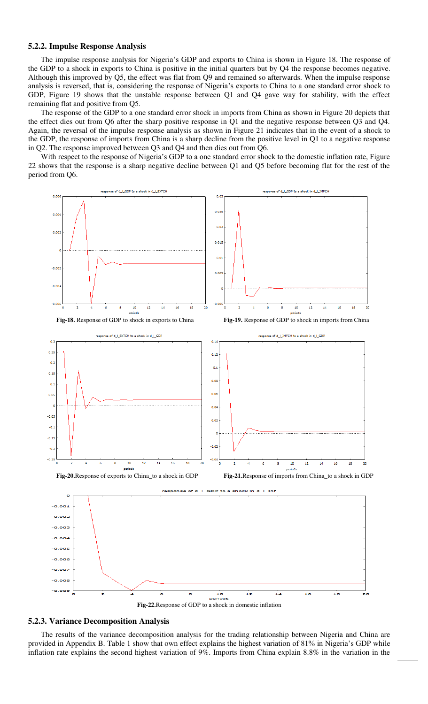#### **5.2.2. Impulse Response Analysis**

The impulse response analysis for Nigeria's GDP and exports to China is shown in Figure 18. The response of the GDP to a shock in exports to China is positive in the initial quarters but by Q4 the response becomes negative. Although this improved by Q5, the effect was flat from Q9 and remained so afterwards. When the impulse response analysis is reversed, that is, considering the response of Nigeria's exports to China to a one standard error shock to GDP, Figure 19 shows that the unstable response between Q1 and Q4 gave way for stability, with the effect remaining flat and positive from Q5.

The response of the GDP to a one standard error shock in imports from China as shown in Figure 20 depicts that the effect dies out from Q6 after the sharp positive response in Q1 and the negative response between Q3 and Q4. Again, the reversal of the impulse response analysis as shown in Figure 21 indicates that in the event of a shock to the GDP, the response of imports from China is a sharp decline from the positive level in Q1 to a negative response in Q2. The response improved between Q3 and Q4 and then dies out from Q6.

With respect to the response of Nigeria's GDP to a one standard error shock to the domestic inflation rate, Figure 22 shows that the response is a sharp negative decline between Q1 and Q5 before becoming flat for the rest of the period from Q6.



#### **5.2.3. Variance Decomposition Analysis**

The results of the variance decomposition analysis for the trading relationship between Nigeria and China are provided in Appendix B. Table 1 show that own effect explains the highest variation of 81% in Nigeria's GDP while inflation rate explains the second highest variation of 9%. Imports from China explain 8.8% in the variation in the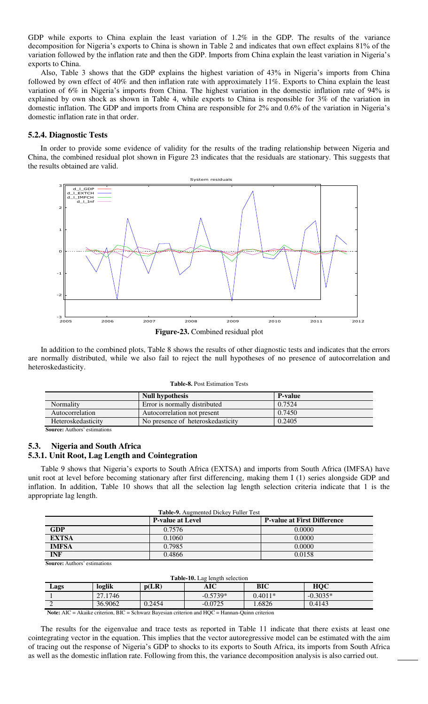GDP while exports to China explain the least variation of 1.2% in the GDP. The results of the variance decomposition for Nigeria's exports to China is shown in Table 2 and indicates that own effect explains 81% of the variation followed by the inflation rate and then the GDP. Imports from China explain the least variation in Nigeria's exports to China.

Also, Table 3 shows that the GDP explains the highest variation of 43% in Nigeria's imports from China followed by own effect of 40% and then inflation rate with approximately 11%. Exports to China explain the least variation of 6% in Nigeria's imports from China. The highest variation in the domestic inflation rate of 94% is explained by own shock as shown in Table 4, while exports to China is responsible for 3% of the variation in domestic inflation. The GDP and imports from China are responsible for 2% and 0.6% of the variation in Nigeria's domestic inflation rate in that order.

#### **5.2.4. Diagnostic Tests**

In order to provide some evidence of validity for the results of the trading relationship between Nigeria and China, the combined residual plot shown in Figure 23 indicates that the residuals are stationary. This suggests that the results obtained are valid.



**Figure-23.** Combined residual plot

In addition to the combined plots, Table 8 shows the results of other diagnostic tests and indicates that the errors are normally distributed, while we also fail to reject the null hypotheses of no presence of autocorrelation and heteroskedasticity.

|  | <b>Table-8.</b> Post Estimation Tests |  |
|--|---------------------------------------|--|
|--|---------------------------------------|--|

|                    | <b>Null hypothesis</b>            | <b>P</b> -value |
|--------------------|-----------------------------------|-----------------|
| Normality          | Error is normally distributed     | 0.7524          |
| Autocorrelation    | Autocorrelation not present       | 0.7450          |
| Heteroskedasticity | No presence of heteroskedasticity | 0.2405          |

**Source:** Authors' estimations

## **5.3. Nigeria and South Africa 5.3.1. Unit Root, Lag Length and Cointegration**

Table 9 shows that Nigeria's exports to South Africa (EXTSA) and imports from South Africa (IMFSA) have unit root at level before becoming stationary after first differencing, making them I (1) series alongside GDP and inflation. In addition, Table 10 shows that all the selection lag length selection criteria indicate that 1 is the appropriate lag length.

|              | Table-9. Augmented Dickey Fuller Test |                                    |
|--------------|---------------------------------------|------------------------------------|
|              | <b>P-value at Level</b>               | <b>P-value at First Difference</b> |
| GDP          | 0.7576                                | 0.0000                             |
| <b>EXTSA</b> | 0.1060                                | 0.0000                             |
| <b>IMFSA</b> | 0.7985                                | 0.0000                             |
| <b>INF</b>   | 0.4866                                | 0.0158                             |

**Source:** Authors' estimations

 $\frac{1}{1}$ 

| <b>Table-10.</b> Lag length selection |         |        |                                                                                                             |           |            |  |
|---------------------------------------|---------|--------|-------------------------------------------------------------------------------------------------------------|-----------|------------|--|
| Lags                                  | loglik  | p(LR)  | AIC                                                                                                         | BIC       | <b>HOC</b> |  |
|                                       | 27.1746 |        | $-0.5739*$                                                                                                  | $0.4011*$ | $-0.3035*$ |  |
|                                       | 36.9062 | 0.2454 | $-0.0725$                                                                                                   | .6826     | 0.4143     |  |
|                                       |         |        | <b>Note:</b> $AIC = Akaike criterion$ . BIC = Schwarz Bayesian criterion and $HOC =$ Hannan-Quinn criterion |           |            |  |

**Note:** AIC = Akaike criterion, BIC = Schwarz Bayesian criterion and HQC = Hannan-Quinn criterion

The results for the eigenvalue and trace tests as reported in Table 11 indicate that there exists at least one cointegrating vector in the equation. This implies that the vector autoregressive model can be estimated with the aim of tracing out the response of Nigeria's GDP to shocks to its exports to South Africa, its imports from South Africa as well as the domestic inflation rate. Following from this, the variance decomposition analysis is also carried out.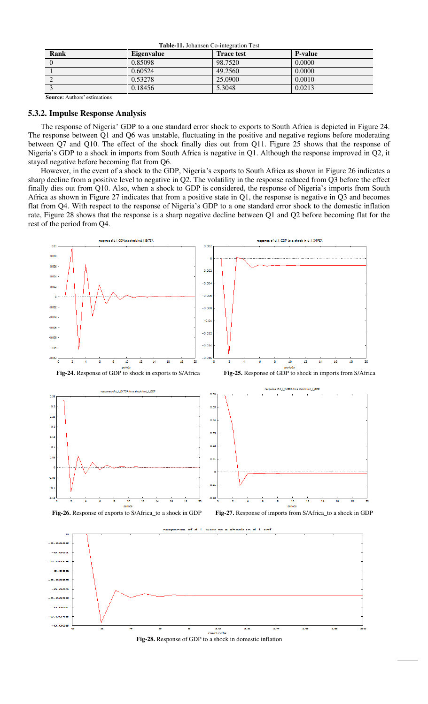| <b>Table-11.</b> Johansen Co-integration Test |            |                   |                |  |  |
|-----------------------------------------------|------------|-------------------|----------------|--|--|
| Rank                                          | Eigenvalue | <b>Trace test</b> | <b>P-value</b> |  |  |
|                                               | 0.85098    | 98.7520           | 0.0000         |  |  |
|                                               | 0.60524    | 49.2560           | 0.0000         |  |  |
|                                               | 0.53278    | 25.0900           | 0.0010         |  |  |
|                                               | 0.18456    | 5.3048            | 0.0213         |  |  |

**Source:** Authors' estimations

#### **5.3.2. Impulse Response Analysis**

The response of Nigeria' GDP to a one standard error shock to exports to South Africa is depicted in Figure 24. The response between Q1 and Q6 was unstable, fluctuating in the positive and negative regions before moderating between Q7 and Q10. The effect of the shock finally dies out from Q11. Figure 25 shows that the response of Nigeria's GDP to a shock in imports from South Africa is negative in Q1. Although the response improved in Q2, it stayed negative before becoming flat from Q6.

However, in the event of a shock to the GDP, Nigeria's exports to South Africa as shown in Figure 26 indicates a sharp decline from a positive level to negative in Q2. The volatility in the response reduced from Q3 before the effect finally dies out from Q10. Also, when a shock to GDP is considered, the response of Nigeria's imports from South Africa as shown in Figure 27 indicates that from a positive state in Q1, the response is negative in Q3 and becomes flat from Q4. With respect to the response of Nigeria's GDP to a one standard error shock to the domestic inflation rate, Figure 28 shows that the response is a sharp negative decline between Q1 and Q2 before becoming flat for the rest of the period from Q4.



**Fig-28.** Response of GDP to a shock in domestic inflation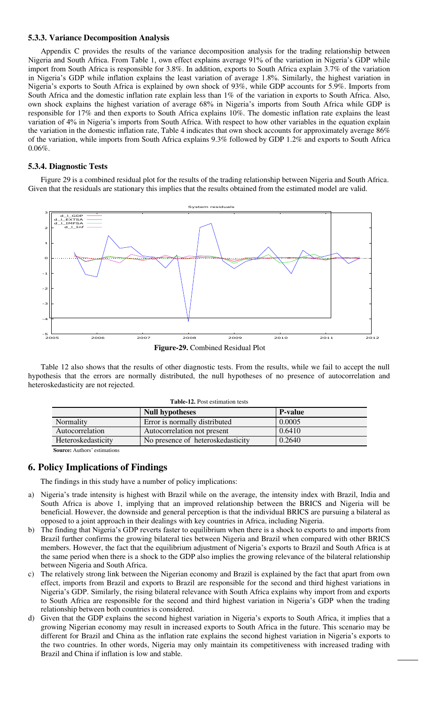#### **5.3.3. Variance Decomposition Analysis**

Appendix C provides the results of the variance decomposition analysis for the trading relationship between Nigeria and South Africa. From Table 1, own effect explains average 91% of the variation in Nigeria's GDP while import from South Africa is responsible for 3.8%. In addition, exports to South Africa explain 3.7% of the variation in Nigeria's GDP while inflation explains the least variation of average 1.8%. Similarly, the highest variation in Nigeria's exports to South Africa is explained by own shock of 93%, while GDP accounts for 5.9%. Imports from South Africa and the domestic inflation rate explain less than 1% of the variation in exports to South Africa. Also, own shock explains the highest variation of average 68% in Nigeria's imports from South Africa while GDP is responsible for 17% and then exports to South Africa explains 10%. The domestic inflation rate explains the least variation of 4% in Nigeria's imports from South Africa. With respect to how other variables in the equation explain the variation in the domestic inflation rate, Table 4 indicates that own shock accounts for approximately average 86% of the variation, while imports from South Africa explains 9.3% followed by GDP 1.2% and exports to South Africa  $0.06\%$ .

## **5.3.4. Diagnostic Tests**

Figure 29 is a combined residual plot for the results of the trading relationship between Nigeria and South Africa. Given that the residuals are stationary this implies that the results obtained from the estimated model are valid.



**Figure-29.** Combined Residual Plot

Table 12 also shows that the results of other diagnostic tests. From the results, while we fail to accept the null hypothesis that the errors are normally distributed, the null hypotheses of no presence of autocorrelation and heteroskedasticity are not rejected.

|                    | <b>Table-12.</b> Post estimation tests |                |  |  |  |
|--------------------|----------------------------------------|----------------|--|--|--|
|                    | <b>Null hypotheses</b>                 | <b>P-value</b> |  |  |  |
| Normality          | Error is normally distributed          | 0.0005         |  |  |  |
| Autocorrelation    | Autocorrelation not present            | 0.6410         |  |  |  |
| Heteroskedasticity | No presence of heteroskedasticity      | 0.2640         |  |  |  |
| .                  |                                        |                |  |  |  |

#### **Source:** Authors' estimations

 $\overline{\phantom{a}}$ 

## **6. Policy Implications of Findings**

The findings in this study have a number of policy implications:

- a) Nigeria's trade intensity is highest with Brazil while on the average, the intensity index with Brazil, India and South Africa is above 1, implying that an improved relationship between the BRICS and Nigeria will be beneficial. However, the downside and general perception is that the individual BRICS are pursuing a bilateral as opposed to a joint approach in their dealings with key countries in Africa, including Nigeria.
- b) The finding that Nigeria's GDP reverts faster to equilibrium when there is a shock to exports to and imports from Brazil further confirms the growing bilateral ties between Nigeria and Brazil when compared with other BRICS members. However, the fact that the equilibrium adjustment of Nigeria's exports to Brazil and South Africa is at the same period when there is a shock to the GDP also implies the growing relevance of the bilateral relationship between Nigeria and South Africa.
- c) The relatively strong link between the Nigerian economy and Brazil is explained by the fact that apart from own effect, imports from Brazil and exports to Brazil are responsible for the second and third highest variations in Nigeria's GDP. Similarly, the rising bilateral relevance with South Africa explains why import from and exports to South Africa are responsible for the second and third highest variation in Nigeria's GDP when the trading relationship between both countries is considered.
- d) Given that the GDP explains the second highest variation in Nigeria's exports to South Africa, it implies that a growing Nigerian economy may result in increased exports to South Africa in the future. This scenario may be different for Brazil and China as the inflation rate explains the second highest variation in Nigeria's exports to the two countries. In other words, Nigeria may only maintain its competitiveness with increased trading with Brazil and China if inflation is low and stable.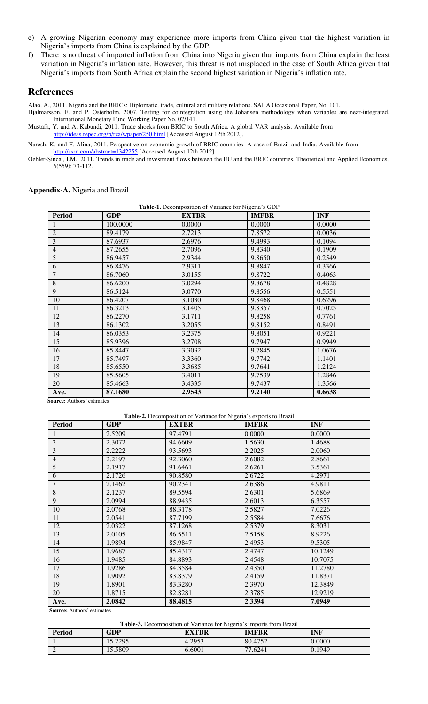- e) A growing Nigerian economy may experience more imports from China given that the highest variation in Nigeria's imports from China is explained by the GDP.
- f) There is no threat of imported inflation from China into Nigeria given that imports from China explain the least variation in Nigeria's inflation rate. However, this threat is not misplaced in the case of South Africa given that Nigeria's imports from South Africa explain the second highest variation in Nigeria's inflation rate.

#### **References**

<span id="page-12-0"></span>Alao, A., 2011. Nigeria and the BRICs: Diplomatic, trade, cultural and military relations. SAIIA Occasional Paper, No. 101.

<span id="page-12-3"></span>Hjalmarsson, E. and P. Österholm, 2007. Testing for cointegration using the Johansen methodology when variables are near-integrated. International Monetary Fund Working Paper No. 07/141.

<span id="page-12-4"></span>Mustafa, Y. and A. Kabundi, 2011. Trade shocks from BRIC to South Africa. A global VAR analysis. Available from [http://ideas.repec.org/p/rza/wpaper/250.html \[](http://ideas.repec.org/p/rza/wpaper/250.html)Accessed August 12th 2012].

<span id="page-12-1"></span>Naresh, K. and F. Alina, 2011. Perspective on economic growth of BRIC countries. A case of Brazil and India. Available from [http://ssrn.com/abstract=1342255 \[](http://ssrn.com/abstract%3D1342255)Accessed August 12th 2012].

<span id="page-12-2"></span>Oehler-Şincai, I.M., 2011. Trends in trade and investment flows between the EU and the BRIC countries. Theoretical and Applied Economics, 6(559): 73-112.

#### **Appendix-A.** Nigeria and Brazil

**Table-1.** Decomposition of Variance for Nigeria's GDP Period **GDP EXTBR** IMFBR INF 1 100.0000  $\begin{bmatrix} 0.0000 \end{bmatrix}$  0.0000 0.0000 0.0000 2 89.4179 2.7213 7.8572 0.0036 3 87.6937 2.6976 9.4993 0.1094 4 87.2655 2.7096 9.8340 0.1909 5 86.9457 2.9344 9.8650 0.2549 6 86.8476 2.9311 9.8847 0.3366 7 86.7060 3.0155 9.8722 0.4063 8 86.6200 3.0294 9.8678 0.4828 9 86.5124 3.0770 9.8556  $\vert$  3.0770 10 86.4207 3.1030 9.8468 0.6296 11 | 86.3213 | 3.1405 | 9.8357 | 0.7025 12  $\begin{array}{|l|c|c|c|c|c|c|c|c|} \hline 3.1711 & 9.8258 & 0.7761 \ \hline \end{array}$ 13 86.1302 3.2055 9.8152 0.8491 14 | 86.0353 | 3.2375 | 9.8051 | 0.9221 15 85.9396 3.2708 9.7947 0.9949 16 85.8447 3.3032 9.7845 1.0676 17 | 85.7497 | 3.3360 | 9.7742 | 1.1401 18 85.6550 3.3685 9.7641 1.2124 19 85.5605 3.4011 9.7539 1.2846 20 | 85.4663 | 3.4335 | 9.7437 | 1.3566 Ave. 87.1680 2.9543 9.2140 0.6638

**Source:** Authors' estimates

|                 | Table-2. Decomposition of Variance for Nigeria's exports to Brazil |              |              |            |  |
|-----------------|--------------------------------------------------------------------|--------------|--------------|------------|--|
| Period          | <b>GDP</b>                                                         | <b>EXTBR</b> | <b>IMFBR</b> | <b>INF</b> |  |
| 1               | 2.5209                                                             | 97.4791      | 0.0000       | 0.0000     |  |
| $\overline{2}$  | 2.3072                                                             | 94.6609      | 1.5630       | 1.4688     |  |
| $\overline{3}$  | 2.2222                                                             | 93.5693      | 2.2025       | 2.0060     |  |
| $\overline{4}$  | 2.2197                                                             | 92.3060      | 2.6082       | 2.8661     |  |
| 5               | 2.1917                                                             | 91.6461      | 2.6261       | 3.5361     |  |
| 6               | 2.1726                                                             | 90.8580      | 2.6722       | 4.2971     |  |
| $\overline{7}$  | 2.1462                                                             | 90.2341      | 2.6386       | 4.9811     |  |
| $\overline{8}$  | 2.1237                                                             | 89.5594      | 2.6301       | 5.6869     |  |
| $\overline{9}$  | 2.0994                                                             | 88.9435      | 2.6013       | 6.3557     |  |
| 10              | 2.0768                                                             | 88.3178      | 2.5827       | 7.0226     |  |
| $\overline{11}$ | 2.0541                                                             | 87.7199      | 2.5584       | 7.6676     |  |
| 12              | 2.0322                                                             | 87.1268      | 2.5379       | 8.3031     |  |
| 13              | 2.0105                                                             | 86.5511      | 2.5158       | 8.9226     |  |
| 14              | 1.9894                                                             | 85.9847      | 2.4953       | 9.5305     |  |
| 15              | 1.9687                                                             | 85.4317      | 2.4747       | 10.1249    |  |
| 16              | 1.9485                                                             | 84.8893      | 2.4548       | 10.7075    |  |
| 17              | 1.9286                                                             | 84.3584      | 2.4350       | 11.2780    |  |
| 18              | 1.9092                                                             | 83.8379      | 2.4159       | 11.8371    |  |
| 19              | 1.8901                                                             | 83.3280      | 2.3970       | 12.3849    |  |
| 20              | 1.8715                                                             | 82.8281      | 2.3785       | 12.9219    |  |
| Ave.            | 2.0842                                                             | 88.4815      | 2.3394       | 7.0949     |  |

**Source:** Authors' estimates

#### **Table-3.** Decomposition of Variance for Nigeria's imports from Brazil

| <b>Period</b>            | GDP                               | <b>EXTBR</b> | <b>IMFBR</b>                      | <b>INF</b> |
|--------------------------|-----------------------------------|--------------|-----------------------------------|------------|
|                          | 2205<br>$\sim$<br>10. <i>44JJ</i> | 4.2953       | 80.4752                           | 0.0000     |
| $\overline{\phantom{0}}$ | 15.5809                           | 6.6001       | .6241<br>$\overline{\phantom{a}}$ | 0.1949     |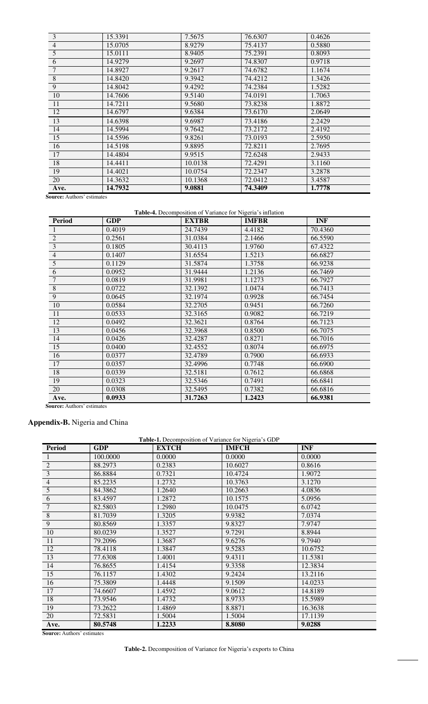| 3              | 15.3391 | 7.5675  | 76.6307 | 0.4626 |
|----------------|---------|---------|---------|--------|
| $\overline{4}$ | 15.0705 | 8.9279  | 75.4137 | 0.5880 |
| 5              | 15.0111 | 8.9405  | 75.2391 | 0.8093 |
| 6              | 14.9279 | 9.2697  | 74.8307 | 0.9718 |
| $\overline{7}$ | 14.8927 | 9.2617  | 74.6782 | 1.1674 |
| $\overline{8}$ | 14.8420 | 9.3942  | 74.4212 | 1.3426 |
| $\overline{9}$ | 14.8042 | 9.4292  | 74.2384 | 1.5282 |
| 10             | 14.7606 | 9.5140  | 74.0191 | 1.7063 |
| 11             | 14.7211 | 9.5680  | 73.8238 | 1.8872 |
| 12             | 14.6797 | 9.6384  | 73.6170 | 2.0649 |
| 13             | 14.6398 | 9.6987  | 73.4186 | 2.2429 |
| 14             | 14.5994 | 9.7642  | 73.2172 | 2.4192 |
| 15             | 14.5596 | 9.8261  | 73.0193 | 2.5950 |
| 16             | 14.5198 | 9.8895  | 72.8211 | 2.7695 |
| 17             | 14.4804 | 9.9515  | 72.6248 | 2.9433 |
| 18             | 14.4411 | 10.0138 | 72.4291 | 3.1160 |
| 19             | 14.4021 | 10.0754 | 72.2347 | 3.2878 |
| 20             | 14.3632 | 10.1368 | 72.0412 | 3.4587 |
| Ave.           | 14.7932 | 9.0881  | 74.3409 | 1.7778 |

**Source:** Authors' estimates

**Table-4.** Decomposition of Variance for Nigeria's inflation

| Period         | <b>GDP</b> | <b>EXTBR</b> | <b>IMFBR</b> | <b>INF</b> |
|----------------|------------|--------------|--------------|------------|
| $\mathbf{1}$   | 0.4019     | 24.7439      | 4.4182       | 70.4360    |
| $\overline{2}$ | 0.2561     | 31.0384      | 2.1466       | 66.5590    |
| $\mathfrak{Z}$ | 0.1805     | 30.4113      | 1.9760       | 67.4322    |
| $\overline{4}$ | 0.1407     | 31.6554      | 1.5213       | 66.6827    |
| 5              | 0.1129     | 31.5874      | 1.3758       | 66.9238    |
| 6              | 0.0952     | 31.9444      | 1.2136       | 66.7469    |
| $\overline{7}$ | 0.0819     | 31.9981      | 1.1273       | 66.7927    |
| $\,8\,$        | 0.0722     | 32.1392      | 1.0474       | 66.7413    |
| $\overline{9}$ | 0.0645     | 32.1974      | 0.9928       | 66.7454    |
| 10             | 0.0584     | 32.2705      | 0.9451       | 66.7260    |
| 11             | 0.0533     | 32.3165      | 0.9082       | 66.7219    |
| 12             | 0.0492     | 32.3621      | 0.8764       | 66.7123    |
| 13             | 0.0456     | 32.3968      | 0.8500       | 66.7075    |
| 14             | 0.0426     | 32.4287      | 0.8271       | 66.7016    |
| 15             | 0.0400     | 32.4552      | 0.8074       | 66.6975    |
| 16             | 0.0377     | 32.4789      | 0.7900       | 66.6933    |
| 17             | 0.0357     | 32.4996      | 0.7748       | 66.6900    |
| 18             | 0.0339     | 32.5181      | 0.7612       | 66.6868    |
| 19             | 0.0323     | 32.5346      | 0.7491       | 66.6841    |
| 20             | 0.0308     | 32.5495      | 0.7382       | 66.6816    |
| Ave.           | 0.0933     | 31.7263      | 1.2423       | 66.9381    |

**Source:** Authors' estimates

## **Appendix-B.** Nigeria and China

**Table-1.** Decomposition of Variance for Nigeria's GDP

| <b>Period</b>  | <b>GDP</b> | <b>EXTCH</b> | <b>IMFCH</b> | <b>INF</b> |
|----------------|------------|--------------|--------------|------------|
|                | 100.0000   | 0.0000       | 0.0000       | 0.0000     |
| $\overline{2}$ | 88.2973    | 0.2383       | 10.6027      | 0.8616     |
| $\overline{3}$ | 86.8884    | 0.7321       | 10.4724      | 1.9072     |
| $\overline{4}$ | 85.2235    | 1.2732       | 10.3763      | 3.1270     |
| 5              | 84.3862    | 1.2640       | 10.2663      | 4.0836     |
| 6              | 83.4597    | 1.2872       | 10.1575      | 5.0956     |
| 7              | 82.5803    | 1.2980       | 10.0475      | 6.0742     |
| $\,$ 8 $\,$    | 81.7039    | 1.3205       | 9.9382       | 7.0374     |
| $\overline{9}$ | 80.8569    | 1.3357       | 9.8327       | 7.9747     |
| 10             | 80.0239    | 1.3527       | 9.7291       | 8.8944     |
| 11             | 79.2096    | 1.3687       | 9.6276       | 9.7940     |
| 12             | 78.4118    | 1.3847       | 9.5283       | 10.6752    |
| 13             | 77.6308    | 1.4001       | 9.4311       | 11.5381    |
| 14             | 76.8655    | 1.4154       | 9.3358       | 12.3834    |
| 15             | 76.1157    | 1.4302       | 9.2424       | 13.2116    |
| 16             | 75.3809    | 1.4448       | 9.1509       | 14.0233    |
| 17             | 74.6607    | 1.4592       | 9.0612       | 14.8189    |
| 18             | 73.9546    | 1.4732       | 8.9733       | 15.5989    |
| 19             | 73.2622    | 1.4869       | 8.8871       | 16.3638    |
| 20             | 72.5831    | 1.5004       | 1.5004       | 17.1139    |
| Ave.           | 80.5748    | 1.2233       | 8.8080       | 9.0288     |

**Source:** Authors' estimates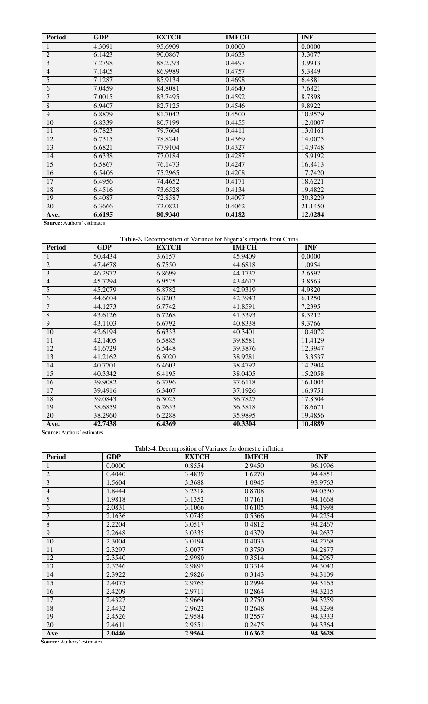| <b>Period</b>    | <b>GDP</b> | <b>EXTCH</b> | <b>IMFCH</b> | <b>INF</b> |
|------------------|------------|--------------|--------------|------------|
| -1               | 4.3091     | 95.6909      | 0.0000       | 0.0000     |
| $\overline{2}$   | 6.1423     | 90.0867      | 0.4633       | 3.3077     |
| $\overline{3}$   | 7.2798     | 88.2793      | 0.4497       | 3.9913     |
| $\overline{4}$   | 7.1405     | 86.9989      | 0.4757       | 5.3849     |
| 5                | 7.1287     | 85.9134      | 0.4698       | 6.4881     |
| $\overline{6}$   | 7.0459     | 84.8081      | 0.4640       | 7.6821     |
| $\boldsymbol{7}$ | 7.0015     | 83.7495      | 0.4592       | 8.7898     |
| $\,8\,$          | 6.9407     | 82.7125      | 0.4546       | 9.8922     |
| $\overline{9}$   | 6.8879     | 81.7042      | 0.4500       | 10.9579    |
| 10               | 6.8339     | 80.7199      | 0.4455       | 12.0007    |
| 11               | 6.7823     | 79.7604      | 0.4411       | 13.0161    |
| $\overline{12}$  | 6.7315     | 78.8241      | 0.4369       | 14.0075    |
| 13               | 6.6821     | 77.9104      | 0.4327       | 14.9748    |
| 14               | 6.6338     | 77.0184      | 0.4287       | 15.9192    |
| $\overline{15}$  | 6.5867     | 76.1473      | 0.4247       | 16.8413    |
| 16               | 6.5406     | 75.2965      | 0.4208       | 17.7420    |
| 17               | 6.4956     | 74.4652      | 0.4171       | 18.6221    |
| 18               | 6.4516     | 73.6528      | 0.4134       | 19.4822    |
| 19               | 6.4087     | 72.8587      | 0.4097       | 20.3229    |
| 20               | 6.3666     | 72.0821      | 0.4062       | 21.1450    |
| Ave.             | 6.6195     | 80.9340      | 0.4182       | 12.0284    |

**Source:** Authors' estimates

**Table-3.** Decomposition of Variance for Nigeria's imports from China

| <b>Period</b>   | <b>GDP</b> | <b>EXTCH</b> | <b>IMFCH</b> | <b>INF</b> |  |
|-----------------|------------|--------------|--------------|------------|--|
| 1               | 50.4434    | 3.6157       | 45.9409      | 0.0000     |  |
| $\overline{2}$  | 47.4678    | 6.7550       | 44.6818      | 1.0954     |  |
| $\overline{3}$  | 46.2972    | 6.8699       | 44.1737      | 2.6592     |  |
| $\overline{4}$  | 45.7294    | 6.9525       | 43.4617      | 3.8563     |  |
| 5               | 45.2079    | 6.8782       | 42.9319      | 4.9820     |  |
| $\overline{6}$  | 44.6604    | 6.8203       | 42.3943      | 6.1250     |  |
| $7\phantom{.0}$ | 44.1273    | 6.7742       | 41.8591      | 7.2395     |  |
| $\overline{8}$  | 43.6126    | 6.7268       | 41.3393      | 8.3212     |  |
| $\overline{9}$  | 43.1103    | 6.6792       | 40.8338      | 9.3766     |  |
| 10              | 42.6194    | 6.6333       | 40.3401      | 10.4072    |  |
| 11              | 42.1405    | 6.5885       | 39.8581      | 11.4129    |  |
| $\overline{12}$ | 41.6729    | 6.5448       | 39.3876      | 12.3947    |  |
| 13              | 41.2162    | 6.5020       | 38.9281      | 13.3537    |  |
| 14              | 40.7701    | 6.4603       | 38.4792      | 14.2904    |  |
| 15              | 40.3342    | 6.4195       | 38.0405      | 15.2058    |  |
| 16              | 39.9082    | 6.3796       | 37.6118      | 16.1004    |  |
| 17              | 39.4916    | 6.3407       | 37.1926      | 16.9751    |  |
| 18              | 39.0843    | 6.3025       | 36.7827      | 17.8304    |  |
| 19              | 38.6859    | 6.2653       | 36.3818      | 18.6671    |  |
| 20              | 38.2960    | 6.2288       | 35.9895      | 19.4856    |  |
| Ave.            | 42.7438    | 6.4369       | 40.3304      | 10.4889    |  |

**Source:** Authors' estimates

**Table-4.** Decomposition of Variance for domestic inflation

| <b>Period</b>  | <b>GDP</b> | <b>Table-4.</b> Decomposition of variance for domestic inflation<br><b>EXTCH</b> | <b>IMFCH</b> | <b>INF</b> |
|----------------|------------|----------------------------------------------------------------------------------|--------------|------------|
|                | 0.0000     | 0.8554                                                                           | 2.9450       | 96.1996    |
| $\overline{2}$ | 0.4040     | 3.4839                                                                           | 1.6270       | 94.4851    |
| 3              | 1.5604     | 3.3688                                                                           | 1.0945       | 93.9763    |
| $\overline{4}$ | 1.8444     | 3.2318                                                                           | 0.8708       | 94.0530    |
| 5              | 1.9818     | 3.1352                                                                           | 0.7161       | 94.1668    |
| 6              | 2.0831     | 3.1066                                                                           | 0.6105       | 94.1998    |
| $\overline{7}$ | 2.1636     | 3.0745                                                                           | 0.5366       | 94.2254    |
| $8\phantom{1}$ | 2.2204     | 3.0517                                                                           | 0.4812       | 94.2467    |
| $\overline{9}$ | 2.2648     | 3.0335                                                                           | 0.4379       | 94.2637    |
| 10             | 2.3004     | 3.0194                                                                           | 0.4033       | 94.2768    |
| 11             | 2.3297     | 3.0077                                                                           | 0.3750       | 94.2877    |
| 12             | 2.3540     | 2.9980                                                                           | 0.3514       | 94.2967    |
| 13             | 2.3746     | 2.9897                                                                           | 0.3314       | 94.3043    |
| 14             | 2.3922     | 2.9826                                                                           | 0.3143       | 94.3109    |
| 15             | 2.4075     | 2.9765                                                                           | 0.2994       | 94.3165    |
| 16             | 2.4209     | 2.9711                                                                           | 0.2864       | 94.3215    |
| 17             | 2.4327     | 2.9664                                                                           | 0.2750       | 94.3259    |
| 18             | 2.4432     | 2.9622                                                                           | 0.2648       | 94.3298    |
| 19             | 2.4526     | 2.9584                                                                           | 0.2557       | 94.3333    |
| 20             | 2.4611     | 2.9551                                                                           | 0.2475       | 94.3364    |
| Ave.           | 2.0446     | 2.9564                                                                           | 0.6362       | 94.3628    |

**Source:** Authors' estimates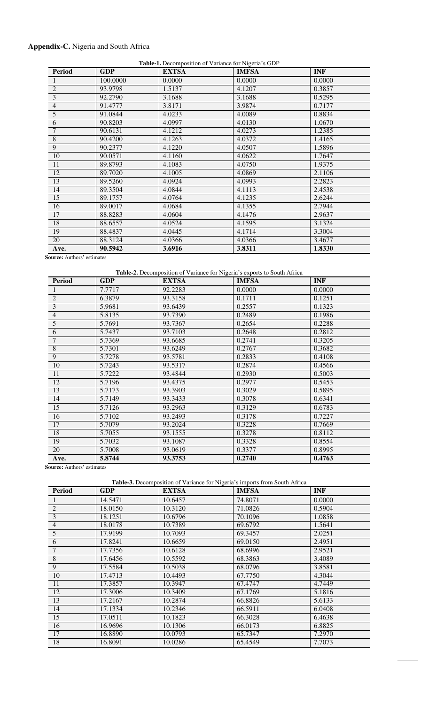## **Appendix-C.** Nigeria and South Africa

| Table-1. Decomposition of Variance for Nigeria's GDP |            |              |              |            |  |
|------------------------------------------------------|------------|--------------|--------------|------------|--|
| Period                                               | <b>GDP</b> | <b>EXTSA</b> | <b>IMFSA</b> | <b>INF</b> |  |
|                                                      | 100.0000   | 0.0000       | 0.0000       | 0.0000     |  |
| $\overline{2}$                                       | 93.9798    | 1.5137       | 4.1207       | 0.3857     |  |
| $\overline{3}$                                       | 92.2790    | 3.1688       | 3.1688       | 0.5295     |  |
| $\overline{4}$                                       | 91.4777    | 3.8171       | 3.9874       | 0.7177     |  |
| 5                                                    | 91.0844    | 4.0233       | 4.0089       | 0.8834     |  |
| 6                                                    | 90.8203    | 4.0997       | 4.0130       | 1.0670     |  |
| $\overline{7}$                                       | 90.6131    | 4.1212       | 4.0273       | 1.2385     |  |
| $\overline{8}$                                       | 90.4200    | 4.1263       | 4.0372       | 1.4165     |  |
| $\overline{9}$                                       | 90.2377    | 4.1220       | 4.0507       | 1.5896     |  |
| 10                                                   | 90.0571    | 4.1160       | 4.0622       | 1.7647     |  |
| 11                                                   | 89.8793    | 4.1083       | 4.0750       | 1.9375     |  |
| 12                                                   | 89.7020    | 4.1005       | 4.0869       | 2.1106     |  |
| 13                                                   | 89.5260    | 4.0924       | 4.0993       | 2.2823     |  |
| 14                                                   | 89.3504    | 4.0844       | 4.1113       | 2.4538     |  |
| $\overline{15}$                                      | 89.1757    | 4.0764       | 4.1235       | 2.6244     |  |
| 16                                                   | 89.0017    | 4.0684       | 4.1355       | 2.7944     |  |
| 17                                                   | 88.8283    | 4.0604       | 4.1476       | 2.9637     |  |
| 18                                                   | 88.6557    | 4.0524       | 4.1595       | 3.1324     |  |
| 19                                                   | 88.4837    | 4.0445       | 4.1714       | 3.3004     |  |
| 20                                                   | 88.3124    | 4.0366       | 4.0366       | 3.4677     |  |
| Ave.                                                 | 90.5942    | 3.6916       | 3.8311       | 1.8330     |  |

**Source:** Authors' estimates

**Table-2.** Decomposition of Variance for Nigeria's exports to South Africa

| Period         | <b>GDP</b> | <b>EXTSA</b> | <b>IMFSA</b> | <b>INF</b> |
|----------------|------------|--------------|--------------|------------|
|                | 7.7717     | 92.2283      | 0.0000       | 0.0000     |
| $\overline{2}$ | 6.3879     | 93.3158      | 0.1711       | 0.1251     |
| $\overline{3}$ | 5.9681     | 93.6439      | 0.2557       | 0.1323     |
| $\overline{4}$ | 5.8135     | 93.7390      | 0.2489       | 0.1986     |
| $\overline{5}$ | 5.7691     | 93.7367      | 0.2654       | 0.2288     |
| $\overline{6}$ | 5.7437     | 93.7103      | 0.2648       | 0.2812     |
| $\overline{7}$ | 5.7369     | 93.6685      | 0.2741       | 0.3205     |
| $\sqrt{8}$     | 5.7301     | 93.6249      | 0.2767       | 0.3682     |
| 9              | 5.7278     | 93.5781      | 0.2833       | 0.4108     |
| 10             | 5.7243     | 93.5317      | 0.2874       | 0.4566     |
| 11             | 5.7222     | 93.4844      | 0.2930       | 0.5003     |
| <sup>12</sup>  | 5.7196     | 93.4375      | 0.2977       | 0.5453     |
| 13             | 5.7173     | 93.3903      | 0.3029       | 0.5895     |
| 14             | 5.7149     | 93.3433      | 0.3078       | 0.6341     |
| 15             | 5.7126     | 93.2963      | 0.3129       | 0.6783     |
| 16             | 5.7102     | 93.2493      | 0.3178       | 0.7227     |
| 17             | 5.7079     | 93.2024      | 0.3228       | 0.7669     |
| 18             | 5.7055     | 93.1555      | 0.3278       | 0.8112     |
| 19             | 5.7032     | 93.1087      | 0.3328       | 0.8554     |
| 20             | 5.7008     | 93.0619      | 0.3377       | 0.8995     |
| Ave.           | 5.8744     | 93.3753      | 0.2740       | 0.4763     |

**Source:** Authors' estimates

**Table-3.** Decomposition of Variance for Nigeria's imports from South Africa

| <b>Period</b>   | <b>GDP</b> | <b>EXTSA</b> | <b>IMFSA</b> | <b>INF</b> |
|-----------------|------------|--------------|--------------|------------|
|                 | 14.5471    | 10.6457      | 74.8071      | 0.0000     |
| $\overline{2}$  | 18.0150    | 10.3120      | 71.0826      | 0.5904     |
| $\overline{3}$  | 18.1251    | 10.6796      | 70.1096      | 1.0858     |
| $\overline{4}$  | 18.0178    | 10.7389      | 69.6792      | 1.5641     |
| $\overline{5}$  | 17.9199    | 10.7093      | 69.3457      | 2.0251     |
| $\overline{6}$  | 17.8241    | 10.6659      | 69.0150      | 2.4951     |
| $\overline{7}$  | 17.7356    | 10.6128      | 68.6996      | 2.9521     |
| $\overline{8}$  | 17.6456    | 10.5592      | 68.3863      | 3.4089     |
| 9               | 17.5584    | 10.5038      | 68.0796      | 3.8581     |
| 10              | 17.4713    | 10.4493      | 67.7750      | 4.3044     |
| 11              | 17.3857    | 10.3947      | 67.4747      | 4.7449     |
| $\overline{12}$ | 17.3006    | 10.3409      | 67.1769      | 5.1816     |
| 13              | 17.2167    | 10.2874      | 66.8826      | 5.6133     |
| 14              | 17.1334    | 10.2346      | 66.5911      | 6.0408     |
| $\overline{15}$ | 17.0511    | 10.1823      | 66.3028      | 6.4638     |
| 16              | 16.9696    | 10.1306      | 66.0173      | 6.8825     |
| 17              | 16.8890    | 10.0793      | 65.7347      | 7.2970     |
| 18              | 16.8091    | 10.0286      | 65.4549      | 7.7073     |